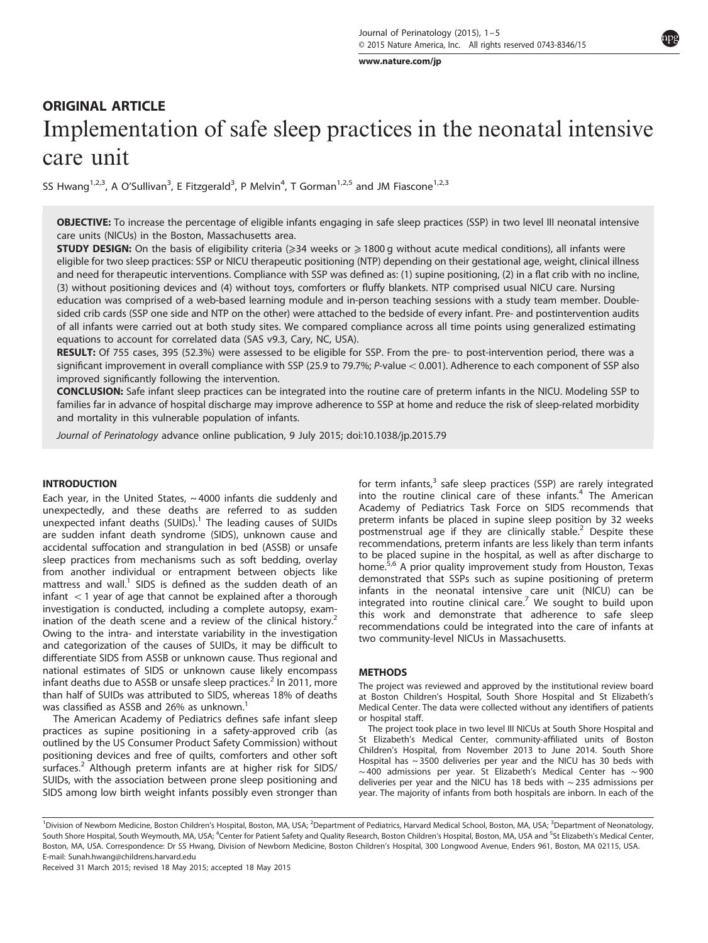[www.nature.com/jp](http://www.nature.com/jp)

# ORIGINAL ARTICLE Implementation of safe sleep practices in the neonatal intensive care unit

SS Hwang<sup>1,2,3</sup>, A O'Sullivan<sup>3</sup>, E Fitzgerald<sup>3</sup>, P Melvin<sup>4</sup>, T Gorman<sup>1,2,5</sup> and JM Fiascone<sup>1,2,3</sup>

OBJECTIVE: To increase the percentage of eligible infants engaging in safe sleep practices (SSP) in two level III neonatal intensive care units (NICUs) in the Boston, Massachusetts area.

**STUDY DESIGN:** On the basis of eligibility criteria ( $≥34$  weeks or  $≥1800$  g without acute medical conditions), all infants were eligible for two sleep practices: SSP or NICU therapeutic positioning (NTP) depending on their gestational age, weight, clinical illness and need for therapeutic interventions. Compliance with SSP was defined as: (1) supine positioning, (2) in a flat crib with no incline, (3) without positioning devices and (4) without toys, comforters or fluffy blankets. NTP comprised usual NICU care. Nursing education was comprised of a web-based learning module and in-person teaching sessions with a study team member. Doublesided crib cards (SSP one side and NTP on the other) were attached to the bedside of every infant. Pre- and postintervention audits of all infants were carried out at both study sites. We compared compliance across all time points using generalized estimating equations to account for correlated data (SAS v9.3, Cary, NC, USA).

RESULT: Of 755 cases, 395 (52.3%) were assessed to be eligible for SSP. From the pre- to post-intervention period, there was a significant improvement in overall compliance with SSP (25.9 to 79.7%; P-value < 0.001). Adherence to each component of SSP also improved significantly following the intervention.

CONCLUSION: Safe infant sleep practices can be integrated into the routine care of preterm infants in the NICU. Modeling SSP to families far in advance of hospital discharge may improve adherence to SSP at home and reduce the risk of sleep-related morbidity and mortality in this vulnerable population of infants.

Journal of Perinatology advance online publication, 9 July 2015; doi[:10.1038/jp.2015.79](http://dx.doi.org/10.1038/jp.2015.79)

# **INTRODUCTION**

Each year, in the United States, ~ 4000 infants die suddenly and unexpectedly, and these deaths are referred to as sudden unexpected infant deaths  $(SUIDs)<sup>1</sup>$ . The leading causes of SUIDs are sudden infant death syndrome (SIDS), unknown cause and accidental suffocation and strangulation in bed (ASSB) or unsafe sleep practices from mechanisms such as soft bedding, overlay from another individual or entrapment between objects like mattress and wall.<sup>[1](#page-3-0)</sup> SIDS is defined as the sudden death of an infant  $<$  1 year of age that cannot be explained after a thorough investigation is conducted, including a complete autopsy, exam-ination of the death scene and a review of the clinical history.<sup>[2](#page-3-0)</sup> Owing to the intra- and interstate variability in the investigation and categorization of the causes of SUIDs, it may be difficult to differentiate SIDS from ASSB or unknown cause. Thus regional and national estimates of SIDS or unknown cause likely encompass infant deaths due to ASSB or unsafe sleep practices.<sup>2</sup> In 2011, more than half of SUIDs was attributed to SIDS, whereas 18% of deaths was classified as ASSB and 26% as unknown.<sup>[1](#page-3-0)</sup>

The American Academy of Pediatrics defines safe infant sleep practices as supine positioning in a safety-approved crib (as outlined by the US Consumer Product Safety Commission) without positioning devices and free of quilts, comforters and other soft surfaces.<sup>[2](#page-3-0)</sup> Although preterm infants are at higher risk for SIDS/ SUIDs, with the association between prone sleep positioning and SIDS among low birth weight infants possibly even stronger than for term infants,<sup>[3](#page-3-0)</sup> safe sleep practices (SSP) are rarely integrated into the routine clinical care of these infants.<sup>[4](#page-4-0)</sup> The American Academy of Pediatrics Task Force on SIDS recommends that preterm infants be placed in supine sleep position by 32 weeks postmenstrual age if they are clinically stable.<sup>[2](#page-3-0)</sup> Despite these recommendations, preterm infants are less likely than term infants to be placed supine in the hospital, as well as after discharge to home.<sup>[5,6](#page-4-0)</sup> A prior quality improvement study from Houston, Texas demonstrated that SSPs such as supine positioning of preterm infants in the neonatal intensive care unit (NICU) can be<br>integrated into routine clinical care.<sup>[7](#page-4-0)</sup> We sought to build upon this work and demonstrate that adherence to safe sleep recommendations could be integrated into the care of infants at two community-level NICUs in Massachusetts.

## **METHODS**

The project was reviewed and approved by the institutional review board at Boston Children's Hospital, South Shore Hospital and St Elizabeth's Medical Center. The data were collected without any identifiers of patients or hospital staff.

The project took place in two level III NICUs at South Shore Hospital and St Elizabeth's Medical Center, community-affiliated units of Boston Children's Hospital, from November 2013 to June 2014. South Shore Hospital has ~ 3500 deliveries per year and the NICU has 30 beds with ∼400 admissions per year. St Elizabeth's Medical Center has ∼ 900 deliveries per year and the NICU has 18 beds with ∼ 235 admissions per year. The majority of infants from both hospitals are inborn. In each of the

<sup>1</sup>Division of Newborn Medicine, Boston Children's Hospital, Boston, MA, USA; <sup>2</sup>Department of Pediatrics, Harvard Medical School, Boston, MA, USA; <sup>3</sup>Department of Neonatology, South Shore Hospital, South Weymouth, MA, USA; <sup>4</sup>Center for Patient Safety and Quality Research, Boston Children's Hospital, Boston, MA, USA and <sup>5</sup>St Elizabeth's Medical Center, Boston, MA, USA. Correspondence: Dr SS Hwang, Division of Newborn Medicine, Boston Children's Hospital, 300 Longwood Avenue, Enders 961, Boston, MA 02115, USA. E-mail: [Sunah.hwang@childrens.harvard.edu](mailto:Sunah.hwang@childrens.harvard.edu)

Received 31 March 2015; revised 18 May 2015; accepted 18 May 2015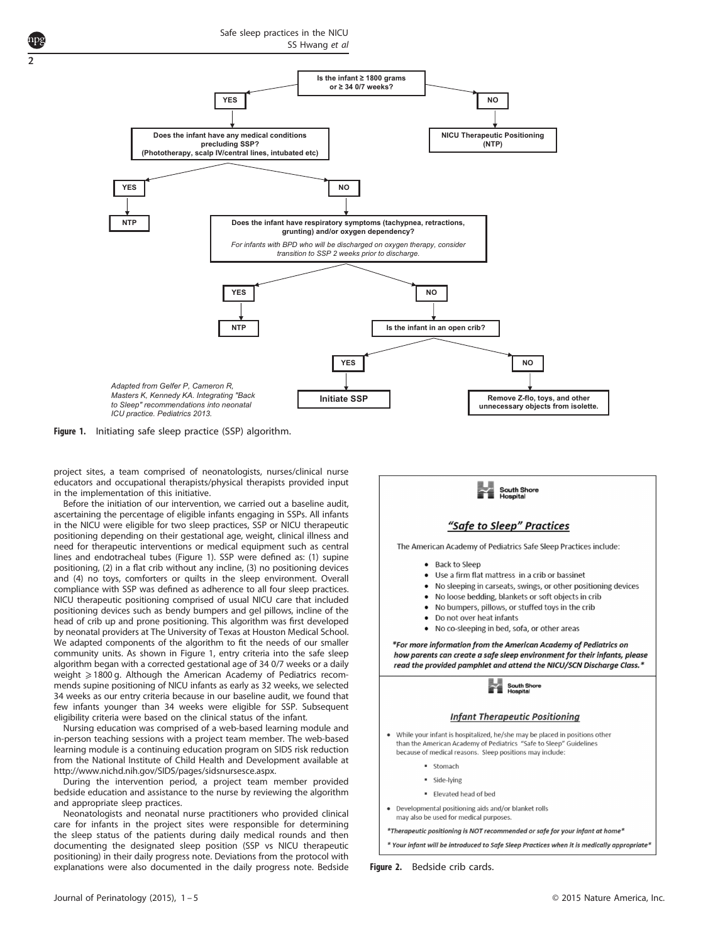<span id="page-1-0"></span>

Figure 1. Initiating safe sleep practice (SSP) algorithm.

project sites, a team comprised of neonatologists, nurses/clinical nurse educators and occupational therapists/physical therapists provided input in the implementation of this initiative.

Before the initiation of our intervention, we carried out a baseline audit, ascertaining the percentage of eligible infants engaging in SSPs. All infants in the NICU were eligible for two sleep practices, SSP or NICU therapeutic positioning depending on their gestational age, weight, clinical illness and need for therapeutic interventions or medical equipment such as central lines and endotracheal tubes (Figure 1). SSP were defined as: (1) supine positioning, (2) in a flat crib without any incline, (3) no positioning devices and (4) no toys, comforters or quilts in the sleep environment. Overall compliance with SSP was defined as adherence to all four sleep practices. NICU therapeutic positioning comprised of usual NICU care that included positioning devices such as bendy bumpers and gel pillows, incline of the head of crib up and prone positioning. This algorithm was first developed by neonatal providers at The University of Texas at Houston Medical School. We adapted components of the algorithm to fit the needs of our smaller community units. As shown in Figure 1, entry criteria into the safe sleep algorithm began with a corrected gestational age of 34 0/7 weeks or a daily weight ≥1800 g. Although the American Academy of Pediatrics recommends supine positioning of NICU infants as early as 32 weeks, we selected 34 weeks as our entry criteria because in our baseline audit, we found that few infants younger than 34 weeks were eligible for SSP. Subsequent eligibility criteria were based on the clinical status of the infant.

Nursing education was comprised of a web-based learning module and in-person teaching sessions with a project team member. The web-based learning module is a continuing education program on SIDS risk reduction from the National Institute of Child Health and Development available at [http://www.nichd.nih.gov/SIDS/pages/sidsnursesce.aspx.](http://www.nichd.nih.gov/SIDS/pages/sidsnursesce.aspx)

During the intervention period, a project team member provided bedside education and assistance to the nurse by reviewing the algorithm and appropriate sleep practices.

Neonatologists and neonatal nurse practitioners who provided clinical care for infants in the project sites were responsible for determining the sleep status of the patients during daily medical rounds and then documenting the designated sleep position (SSP vs NICU therapeutic positioning) in their daily progress note. Deviations from the protocol with explanations were also documented in the daily progress note. Bedside



- No sleeping in carseats, swings, or other positioning devices
- No loose bedding, blankets or soft objects in crib
- No bumpers, pillows, or stuffed toys in the crib
- Do not over heat infants
- No co-sleeping in bed, sofa, or other areas

\*For more information from the American Academy of Pediatrics on how parents can create a safe sleep environment for their infants, please read the provided pamphlet and attend the NICU/SCN Discharge Class.\*



#### **Infant Therapeutic Positioning**

- While your infant is hospitalized, he/she may be placed in positions other than the American Academy of Pediatrics "Safe to Sleep" Guidelines because of medical reasons. Sleep positions may include:
	- · Stomach
	- " Side-lying
	- " Elevated head of bed
- Developmental positioning aids and/or blanket rolls may also be used for medical purposes.
- \*Therapeutic positioning is NOT recommended or safe for your infant at home\*

\* Your infant will be introduced to Safe Sleep Practices when it is medically appropriate\*

Figure 2. Bedside crib cards.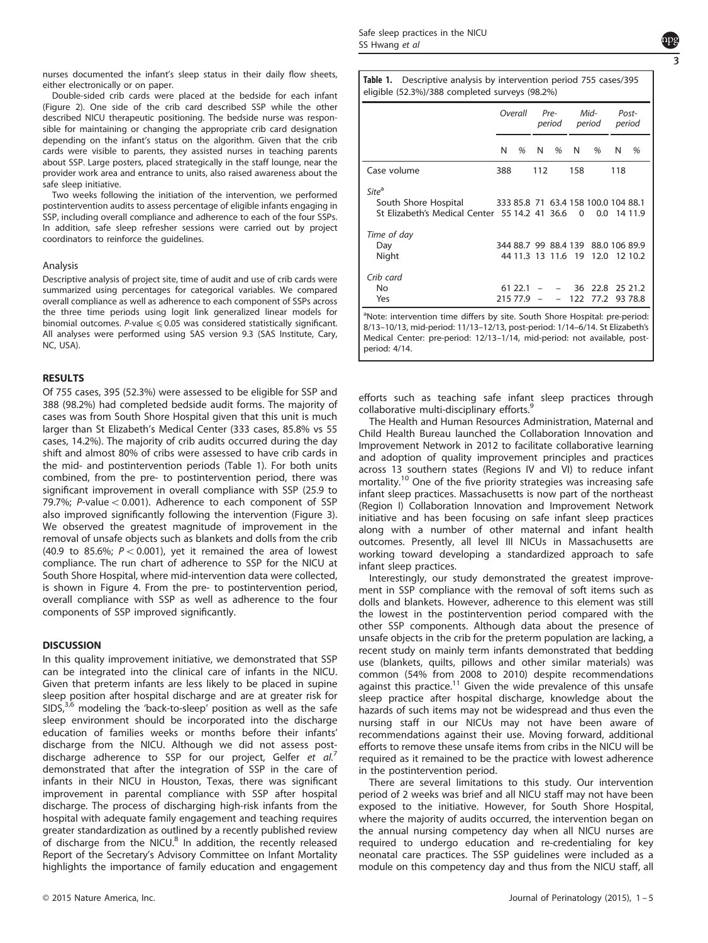nurses documented the infant's sleep status in their daily flow sheets, either electronically or on paper.

Double-sided crib cards were placed at the bedside for each infant [\(Figure 2\)](#page-1-0). One side of the crib card described SSP while the other described NICU therapeutic positioning. The bedside nurse was responsible for maintaining or changing the appropriate crib card designation depending on the infant's status on the algorithm. Given that the crib cards were visible to parents, they assisted nurses in teaching parents about SSP. Large posters, placed strategically in the staff lounge, near the provider work area and entrance to units, also raised awareness about the safe sleep initiative.

Two weeks following the initiation of the intervention, we performed postintervention audits to assess percentage of eligible infants engaging in SSP, including overall compliance and adherence to each of the four SSPs. In addition, safe sleep refresher sessions were carried out by project coordinators to reinforce the guidelines.

## Analysis

Descriptive analysis of project site, time of audit and use of crib cards were summarized using percentages for categorical variables. We compared overall compliance as well as adherence to each component of SSPs across the three time periods using logit link generalized linear models for binomial outcomes. P-value  $\leq 0.05$  was considered statistically significant. All analyses were performed using SAS version 9.3 (SAS Institute, Cary, NC, USA).

#### RESULTS

Of 755 cases, 395 (52.3%) were assessed to be eligible for SSP and 388 (98.2%) had completed bedside audit forms. The majority of cases was from South Shore Hospital given that this unit is much larger than St Elizabeth's Medical Center (333 cases, 85.8% vs 55 cases, 14.2%). The majority of crib audits occurred during the day shift and almost 80% of cribs were assessed to have crib cards in the mid- and postintervention periods (Table 1). For both units combined, from the pre- to postintervention period, there was significant improvement in overall compliance with SSP (25.9 to 79.7%; P-value  $<$  0.001). Adherence to each component of SSP also improved significantly following the intervention [\(Figure 3\)](#page-3-0). We observed the greatest magnitude of improvement in the removal of unsafe objects such as blankets and dolls from the crib (40.9 to 85.6%;  $P < 0.001$ ), yet it remained the area of lowest compliance. The run chart of adherence to SSP for the NICU at South Shore Hospital, where mid-intervention data were collected, is shown in [Figure 4.](#page-3-0) From the pre- to postintervention period, overall compliance with SSP as well as adherence to the four components of SSP improved significantly.

# **DISCUSSION**

In this quality improvement initiative, we demonstrated that SSP can be integrated into the clinical care of infants in the NICU. Given that preterm infants are less likely to be placed in supine sleep position after hospital discharge and are at greater risk for  $SIDS<sub>1</sub><sup>3,6</sup>$  $SIDS<sub>1</sub><sup>3,6</sup>$  $SIDS<sub>1</sub><sup>3,6</sup>$  $SIDS<sub>1</sub><sup>3,6</sup>$  modeling the 'back-to-sleep' position as well as the safe sleep environment should be incorporated into the discharge education of families weeks or months before their infants' discharge from the NICU. Although we did not assess postdischarge adherence to SSP for our project, Gelfer et  $al^7$  $al^7$ demonstrated that after the integration of SSP in the care of infants in their NICU in Houston, Texas, there was significant improvement in parental compliance with SSP after hospital discharge. The process of discharging high-risk infants from the hospital with adequate family engagement and teaching requires greater standardization as outlined by a recently published review of discharge from the NICU.<sup>[8](#page-4-0)</sup> In addition, the recently released Report of the Secretary's Advisory Committee on Infant Mortality highlights the importance of family education and engagement

|                                                | Table 1. Descriptive analysis by intervention period 755 cases/395 |  |  |  |  |  |
|------------------------------------------------|--------------------------------------------------------------------|--|--|--|--|--|
| eligible (52.3%)/388 completed surveys (98.2%) |                                                                    |  |  |  |  |  |

|                                                                                                                                                                        | Overall |                        | Pre-<br>period |                    | Mid-<br>period |                                            | Post-<br>period |         |
|------------------------------------------------------------------------------------------------------------------------------------------------------------------------|---------|------------------------|----------------|--------------------|----------------|--------------------------------------------|-----------------|---------|
|                                                                                                                                                                        | N       | %                      | N              | %                  | N              | %                                          | N               | %       |
| Case volume                                                                                                                                                            | 388     |                        | 112            |                    | 158            |                                            | 118             |         |
| Site <sup>a</sup><br>South Shore Hospital 333 85.8 71 63.4 158 100.0 104 88.1<br>St Elizabeth's Medical Center 55 14.2 41 36.6<br>Time of day                          |         |                        |                |                    | 0              | 0.0                                        |                 | 14 11 9 |
| Day<br>Night                                                                                                                                                           |         |                        |                | 44 11.3 13 11.6 19 |                | 344 88.7 99 88.4 139 88.0 106 89.9<br>12.0 |                 | 12 10.2 |
| Crib card<br>No<br>Yes                                                                                                                                                 |         | 61 22.1<br>$21577.9 -$ |                |                    |                | $-36$ 22.8 25 21.2<br>- 122 77.2           |                 | 93 78.8 |
| <sup>a</sup> Note: intervention time differs by site. South Shore Hospital: pre-period:<br>8/13-10/13, mid-period: 11/13-12/13, post-period: 1/14-6/14. St Elizabeth's |         |                        |                |                    |                |                                            |                 |         |

Medical Center: pre-period: 12/13–1/14, mid-period: not available, postperiod: 4/14.

efforts such as teaching safe infant sleep practices through collaborative multi-disciplinary efforts.<sup>[9](#page-4-0)</sup>

The Health and Human Resources Administration, Maternal and Child Health Bureau launched the Collaboration Innovation and Improvement Network in 2012 to facilitate collaborative learning and adoption of quality improvement principles and practices across 13 southern states (Regions IV and VI) to reduce infant mortality.[10](#page-4-0) One of the five priority strategies was increasing safe infant sleep practices. Massachusetts is now part of the northeast (Region I) Collaboration Innovation and Improvement Network initiative and has been focusing on safe infant sleep practices along with a number of other maternal and infant health outcomes. Presently, all level III NICUs in Massachusetts are working toward developing a standardized approach to safe infant sleep practices.

Interestingly, our study demonstrated the greatest improvement in SSP compliance with the removal of soft items such as dolls and blankets. However, adherence to this element was still the lowest in the postintervention period compared with the other SSP components. Although data about the presence of unsafe objects in the crib for the preterm population are lacking, a recent study on mainly term infants demonstrated that bedding use (blankets, quilts, pillows and other similar materials) was common (54% from 2008 to 2010) despite recommendations against this practice.<sup>[11](#page-4-0)</sup> Given the wide prevalence of this unsafe sleep practice after hospital discharge, knowledge about the hazards of such items may not be widespread and thus even the nursing staff in our NICUs may not have been aware of recommendations against their use. Moving forward, additional efforts to remove these unsafe items from cribs in the NICU will be required as it remained to be the practice with lowest adherence in the postintervention period.

There are several limitations to this study. Our intervention period of 2 weeks was brief and all NICU staff may not have been exposed to the initiative. However, for South Shore Hospital, where the majority of audits occurred, the intervention began on the annual nursing competency day when all NICU nurses are required to undergo education and re-credentialing for key neonatal care practices. The SSP guidelines were included as a module on this competency day and thus from the NICU staff, all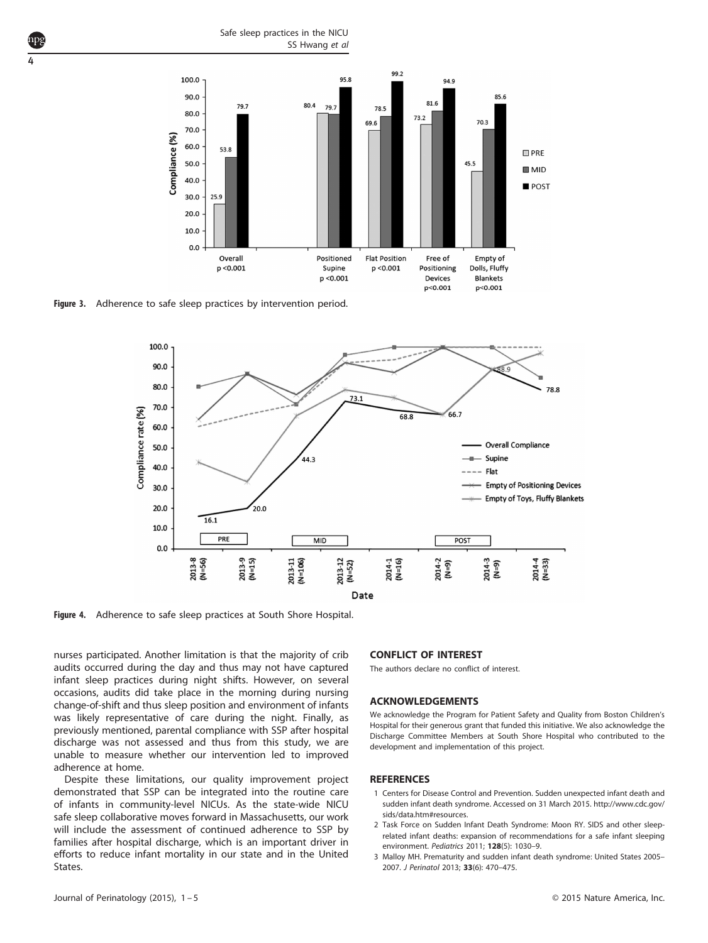2013-8<br>(N=56) 2013-9<br>(N=15) 2013-11<br>(N=106) Figure 4. Adherence to safe sleep practices at South Shore Hospital. nurses participated. Another limitation is that the majority of crib

 $16.1$ 

PRE

audits occurred during the day and thus may not have captured infant sleep practices during night shifts. However, on several occasions, audits did take place in the morning during nursing change-of-shift and thus sleep position and environment of infants

was likely representative of care during the night. Finally, as previously mentioned, parental compliance with SSP after hospital discharge was not assessed and thus from this study, we are unable to measure whether our intervention led to improved adherence at home.

Despite these limitations, our quality improvement project demonstrated that SSP can be integrated into the routine care of infants in community-level NICUs. As the state-wide NICU safe sleep collaborative moves forward in Massachusetts, our work will include the assessment of continued adherence to SSP by families after hospital discharge, which is an important driver in efforts to reduce infant mortality in our state and in the United States.

## CONFLICT OF INTEREST

The authors declare no conflict of interest.

2014-2<br>(N=9)

### ACKNOWLEDGEMENTS

We acknowledge the Program for Patient Safety and Quality from Boston Children's Hospital for their generous grant that funded this initiative. We also acknowledge the Discharge Committee Members at South Shore Hospital who contributed to the development and implementation of this project.

#### **REFERENCES**

- 1 Centers for Disease Control and Prevention. Sudden unexpected infant death and sudden infant death syndrome. Accessed on 31 March 2015. [http://www.cdc.gov/](http://www.cdc.gov/sids/data.htm#resources) [sids/data.htm#resources.](http://www.cdc.gov/sids/data.htm#resources)
- 2 Task Force on Sudden Infant Death Syndrome: Moon RY. SIDS and other sleeprelated infant deaths: expansion of recommendations for a safe infant sleeping environment. Pediatrics 2011; 128(5): 1030–9.
- 3 Malloy MH. Prematurity and sudden infant death syndrome: United States 2005– 2007. J Perinatol 2013; 33(6): 470–475.

Safe sleep practices in the NICU

SS Hwang et al



 $73.1$ 

44

 $MID$ 

2013-12<br>(N=52)

Date

 $20.0$ 

95.8

 $99.2$ 

94.9

 $p < 0.001$ 

66.7

POS<sub>1</sub>

68.8

2014-1<br>(N=16)

 $p < 0.001$ 

78 8

Overall Compliance

**Empty of Positioning Devices** 

Empty of Toys, Fluffy Blankets

2014-4<br>(N=33)

- Supine

Flat

2014-3<br>(N=9)

100.0

<span id="page-3-0"></span>4

Figure 3. Adherence to safe sleep practices by intervention period.

100.0  $90c$ 80.0

70.0

60.0

 $50.0$ 

40.0

30.0

 $20.0$ 

 $10.0$ 

 $0.0$ 

Compliance rate (%)